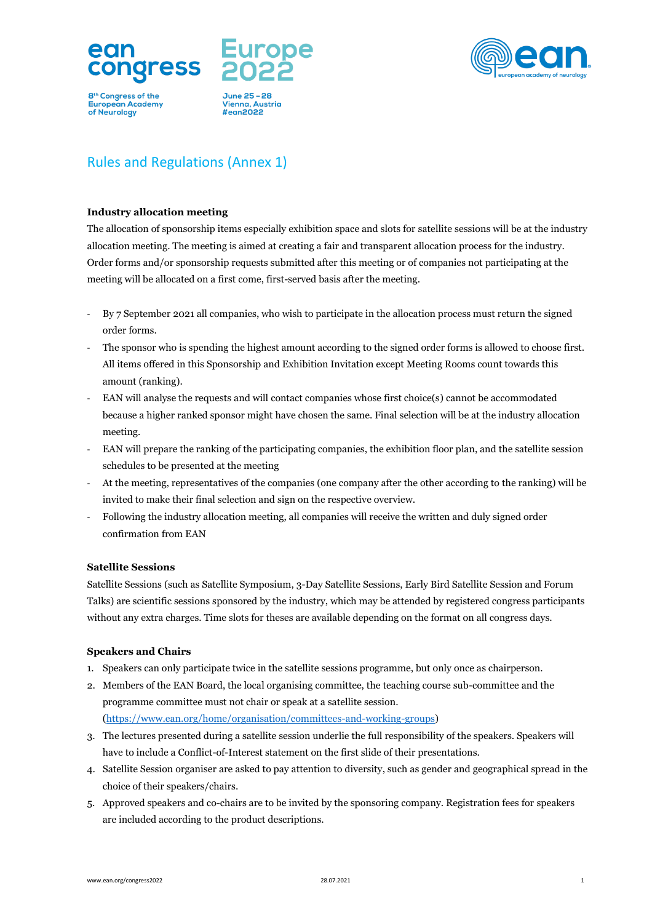



 $#$ egn2022



# Rules and Regulations (Annex 1)

# **Industry allocation meeting**

The allocation of sponsorship items especially exhibition space and slots for satellite sessions will be at the industry allocation meeting. The meeting is aimed at creating a fair and transparent allocation process for the industry. Order forms and/or sponsorship requests submitted after this meeting or of companies not participating at the meeting will be allocated on a first come, first-served basis after the meeting.

- By 7 September 2021 all companies, who wish to participate in the allocation process must return the signed order forms.
- The sponsor who is spending the highest amount according to the signed order forms is allowed to choose first. All items offered in this Sponsorship and Exhibition Invitation except Meeting Rooms count towards this amount (ranking).
- EAN will analyse the requests and will contact companies whose first choice(s) cannot be accommodated because a higher ranked sponsor might have chosen the same. Final selection will be at the industry allocation meeting.
- EAN will prepare the ranking of the participating companies, the exhibition floor plan, and the satellite session schedules to be presented at the meeting
- At the meeting, representatives of the companies (one company after the other according to the ranking) will be invited to make their final selection and sign on the respective overview.
- Following the industry allocation meeting, all companies will receive the written and duly signed order confirmation from EAN

# **Satellite Sessions**

Satellite Sessions (such as Satellite Symposium, 3-Day Satellite Sessions, Early Bird Satellite Session and Forum Talks) are scientific sessions sponsored by the industry, which may be attended by registered congress participants without any extra charges. Time slots for theses are available depending on the format on all congress days.

# **Speakers and Chairs**

- 1. Speakers can only participate twice in the satellite sessions programme, but only once as chairperson.
- 2. Members of the EAN Board, the local organising committee, the teaching course sub-committee and the programme committee must not chair or speak at a satellite session. [\(https://www.ean.org/home/organisation/committees-and-working-groups\)](https://www.ean.org/home/organisation/committees-and-working-groups)
- 3. The lectures presented during a satellite session underlie the full responsibility of the speakers. Speakers will have to include a Conflict-of-Interest statement on the first slide of their presentations.
- 4. Satellite Session organiser are asked to pay attention to diversity, such as gender and geographical spread in the choice of their speakers/chairs.
- 5. Approved speakers and co-chairs are to be invited by the sponsoring company. Registration fees for speakers are included according to the product descriptions.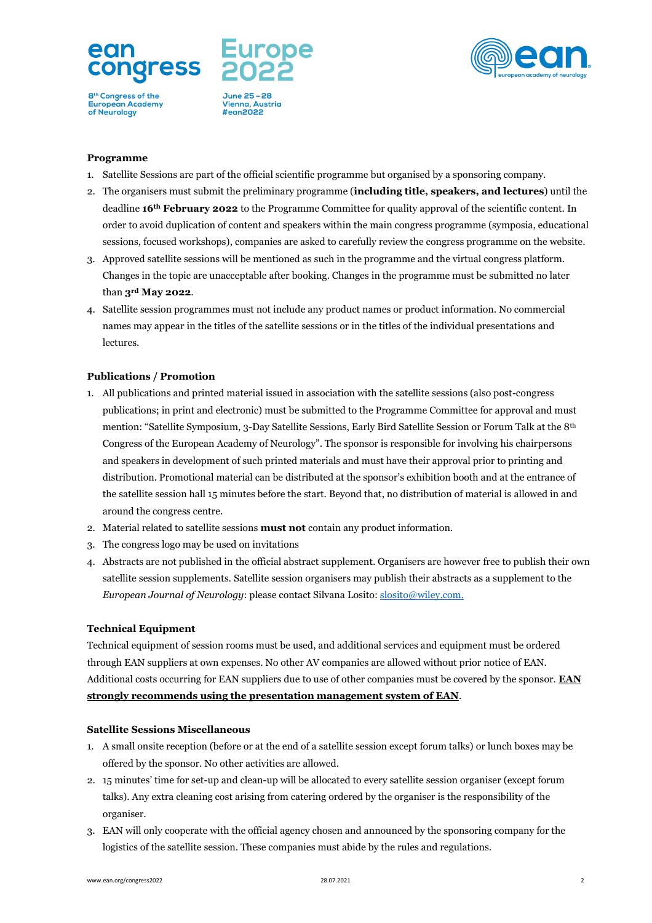

June 25 - 28 Vienna, Austria #ean2022



## **Programme**

- 1. Satellite Sessions are part of the official scientific programme but organised by a sponsoring company.
- 2. The organisers must submit the preliminary programme (**including title, speakers, and lectures**) until the deadline **16th February 2022** to the Programme Committee for quality approval of the scientific content. In order to avoid duplication of content and speakers within the main congress programme (symposia, educational sessions, focused workshops), companies are asked to carefully review the congress programme on the website.
- 3. Approved satellite sessions will be mentioned as such in the programme and the virtual congress platform. Changes in the topic are unacceptable after booking. Changes in the programme must be submitted no later than **3rd May 2022**.
- 4. Satellite session programmes must not include any product names or product information. No commercial names may appear in the titles of the satellite sessions or in the titles of the individual presentations and lectures.

## **Publications / Promotion**

- 1. All publications and printed material issued in association with the satellite sessions (also post-congress publications; in print and electronic) must be submitted to the Programme Committee for approval and must mention: "Satellite Symposium, 3-Day Satellite Sessions, Early Bird Satellite Session or Forum Talk at the 8th Congress of the European Academy of Neurology". The sponsor is responsible for involving his chairpersons and speakers in development of such printed materials and must have their approval prior to printing and distribution. Promotional material can be distributed at the sponsor's exhibition booth and at the entrance of the satellite session hall 15 minutes before the start. Beyond that, no distribution of material is allowed in and around the congress centre.
- 2. Material related to satellite sessions **must not** contain any product information.
- 3. The congress logo may be used on invitations
- 4. Abstracts are not published in the official abstract supplement. Organisers are however free to publish their own satellite session supplements. Satellite session organisers may publish their abstracts as a supplement to the *European Journal of Neurology*: please contact Silvana Losito: [slosito@wiley.com.](mailto:slosito@wiley.com)

## **Technical Equipment**

Technical equipment of session rooms must be used, and additional services and equipment must be ordered through EAN suppliers at own expenses. No other AV companies are allowed without prior notice of EAN. Additional costs occurring for EAN suppliers due to use of other companies must be covered by the sponsor. **EAN strongly recommends using the presentation management system of EAN**.

## **Satellite Sessions Miscellaneous**

- 1. A small onsite reception (before or at the end of a satellite session except forum talks) or lunch boxes may be offered by the sponsor. No other activities are allowed.
- 2. 15 minutes' time for set-up and clean-up will be allocated to every satellite session organiser (except forum talks). Any extra cleaning cost arising from catering ordered by the organiser is the responsibility of the organiser.
- 3. EAN will only cooperate with the official agency chosen and announced by the sponsoring company for the logistics of the satellite session. These companies must abide by the rules and regulations.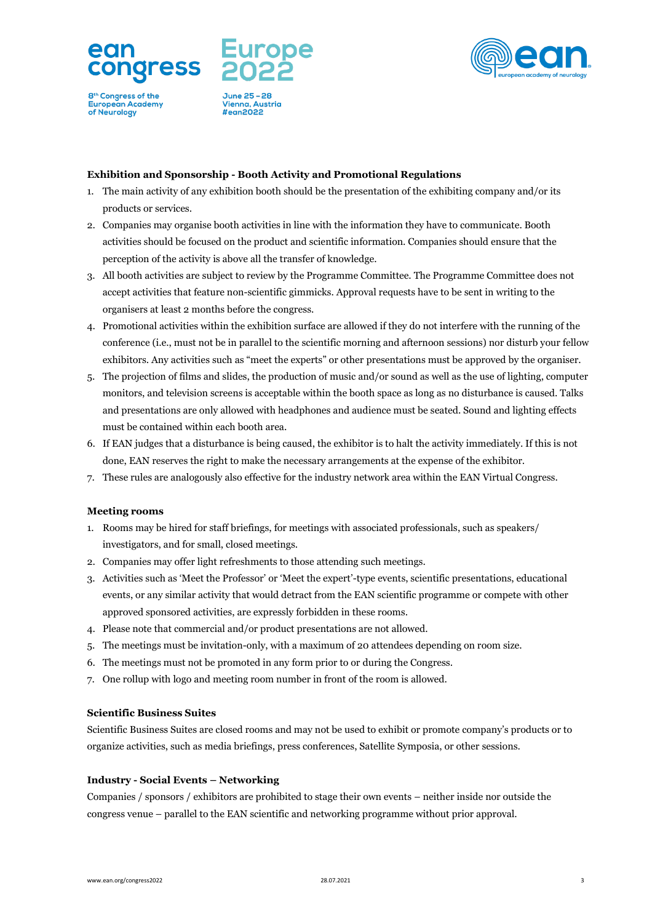

June 25 - 28 Vienna, Austria #ean2022



## **Exhibition and Sponsorship - Booth Activity and Promotional Regulations**

- 1. The main activity of any exhibition booth should be the presentation of the exhibiting company and/or its products or services.
- 2. Companies may organise booth activities in line with the information they have to communicate. Booth activities should be focused on the product and scientific information. Companies should ensure that the perception of the activity is above all the transfer of knowledge.
- 3. All booth activities are subject to review by the Programme Committee. The Programme Committee does not accept activities that feature non-scientific gimmicks. Approval requests have to be sent in writing to the organisers at least 2 months before the congress.
- 4. Promotional activities within the exhibition surface are allowed if they do not interfere with the running of the conference (i.e., must not be in parallel to the scientific morning and afternoon sessions) nor disturb your fellow exhibitors. Any activities such as "meet the experts" or other presentations must be approved by the organiser.
- 5. The projection of films and slides, the production of music and/or sound as well as the use of lighting, computer monitors, and television screens is acceptable within the booth space as long as no disturbance is caused. Talks and presentations are only allowed with headphones and audience must be seated. Sound and lighting effects must be contained within each booth area.
- 6. If EAN judges that a disturbance is being caused, the exhibitor is to halt the activity immediately. If this is not done, EAN reserves the right to make the necessary arrangements at the expense of the exhibitor.
- 7. These rules are analogously also effective for the industry network area within the EAN Virtual Congress.

#### **Meeting rooms**

- 1. Rooms may be hired for staff briefings, for meetings with associated professionals, such as speakers/ investigators, and for small, closed meetings.
- 2. Companies may offer light refreshments to those attending such meetings.
- 3. Activities such as 'Meet the Professor' or 'Meet the expert'-type events, scientific presentations, educational events, or any similar activity that would detract from the EAN scientific programme or compete with other approved sponsored activities, are expressly forbidden in these rooms.
- 4. Please note that commercial and/or product presentations are not allowed.
- 5. The meetings must be invitation-only, with a maximum of 20 attendees depending on room size.
- 6. The meetings must not be promoted in any form prior to or during the Congress.
- 7. One rollup with logo and meeting room number in front of the room is allowed.

#### **Scientific Business Suites**

Scientific Business Suites are closed rooms and may not be used to exhibit or promote company's products or to organize activities, such as media briefings, press conferences, Satellite Symposia, or other sessions.

## **Industry - Social Events – Networking**

Companies / sponsors / exhibitors are prohibited to stage their own events – neither inside nor outside the congress venue – parallel to the EAN scientific and networking programme without prior approval.